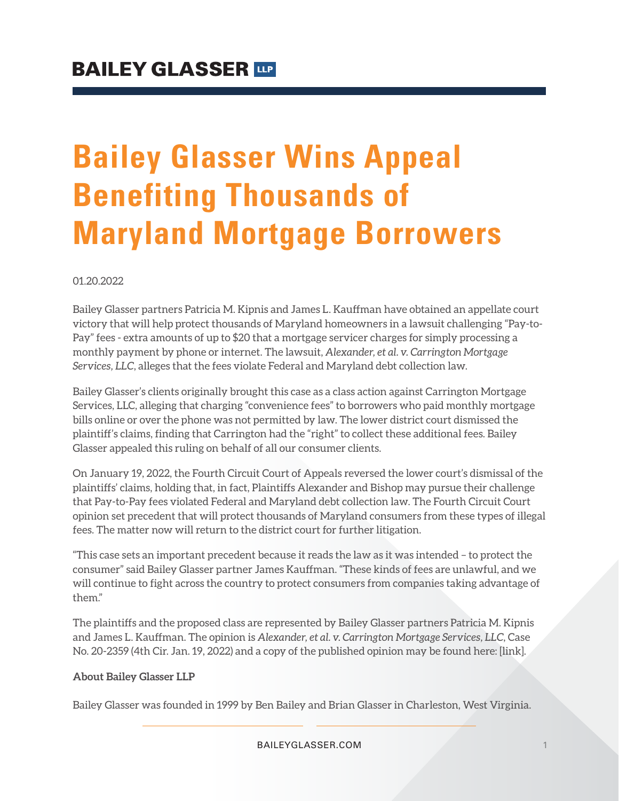# **Bailey Glasser Wins Appeal Benefiting Thousands of Maryland Mortgage Borrowers**

01.20.2022

Bailey Glasser partners Patricia M. Kipnis and James L. Kauffman have obtained an appellate court victory that will help protect thousands of Maryland homeowners in a lawsuit challenging "Pay-to-Pay" fees - extra amounts of up to \$20 that a mortgage servicer charges for simply processing a monthly payment by phone or internet. The lawsuit, *Alexander, et al. v. Carrington Mortgage Services, LLC*, alleges that the fees violate Federal and Maryland debt collection law.

Bailey Glasser's clients originally brought this case as a class action against Carrington Mortgage Services, LLC, alleging that charging "convenience fees" to borrowers who paid monthly mortgage bills online or over the phone was not permitted by law. The lower district court dismissed the plaintiff's claims, finding that Carrington had the "right" to collect these additional fees. Bailey Glasser appealed this ruling on behalf of all our consumer clients.

On January 19, 2022, the Fourth Circuit Court of Appeals reversed the lower court's dismissal of the plaintiffs' claims, holding that, in fact, Plaintiffs Alexander and Bishop may pursue their challenge that Pay-to-Pay fees violated Federal and Maryland debt collection law. The Fourth Circuit Court opinion set precedent that will protect thousands of Maryland consumers from these types of illegal fees. The matter now will return to the district court for further litigation.

"This case sets an important precedent because it reads the law as it was intended – to protect the consumer" said Bailey Glasser partner James Kauffman. "These kinds of fees are unlawful, and we will continue to fight across the country to protect consumers from companies taking advantage of them."

The plaintiffs and the proposed class are represented by Bailey Glasser partners Patricia M. Kipnis and James L. Kauffman. The opinion is *Alexander, et al. v. Carrington Mortgage Services, LLC*, Case No. 20-2359 (4th Cir. Jan. 19, 2022) and a copy of the published opinion may be found here: [link].

#### **About Bailey Glasser LLP**

Bailey Glasser was founded in 1999 by Ben Bailey and Brian Glasser in Charleston, West Virginia.